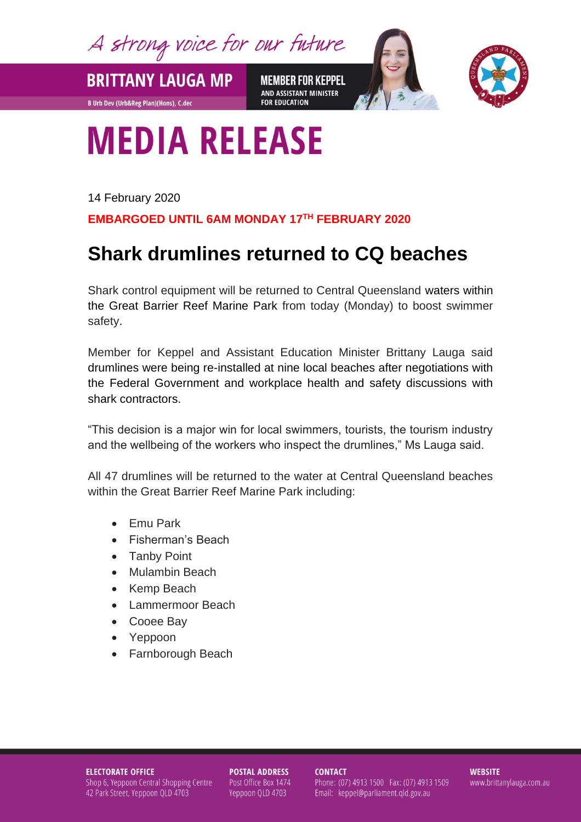A strong voice for our future

**MEMBER FOR KEPPEL** AND ASSISTANT MINISTER **FOR EDUCATION** 



## **MEDIA RELEASE**

14 February 2020

**BRITTANY LAUGA MP** 

**B Urb Dev (Urb&Reg Plan)(Hons), C.dec** 

**EMBARGOED UNTIL 6AM MONDAY 17TH FEBRUARY 2020**

## **Shark drumlines returned to CQ beaches**

Shark control equipment will be returned to Central Queensland waters within the Great Barrier Reef Marine Park from today (Monday) to boost swimmer safety.

Member for Keppel and Assistant Education Minister Brittany Lauga said drumlines were being re-installed at nine local beaches after negotiations with the Federal Government and workplace health and safety discussions with shark contractors.

"This decision is a major win for local swimmers, tourists, the tourism industry and the wellbeing of the workers who inspect the drumlines," Ms Lauga said.

All 47 drumlines will be returned to the water at Central Queensland beaches within the Great Barrier Reef Marine Park including:

- Emu Park
- Fisherman's Beach
- **Tanby Point**
- Mulambin Beach
- Kemp Beach
- Lammermoor Beach
- Cooee Bav
- Yeppoon
- Farnborough Beach

## **ELECTORATE OFFICE** Shop 6, Yeppoon Central Shopping Centre 42 Park Street, Yeppoon QLD 4703

**POSTAL ADDRESS** Post Office Box 1474 Yeppoon QLD 4703

**CONTACT** Phone: (07) 4913 1500 Fax: (07) 4913 1509 Email: keppel@parliament.qld.gov.au

**WEBSITE** www.brittanylauga.com.au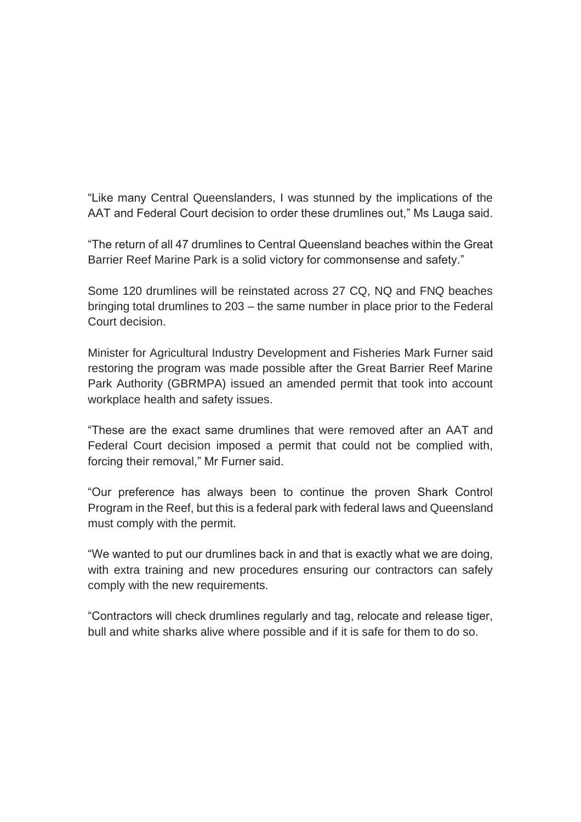"Like many Central Queenslanders, I was stunned by the implications of the AAT and Federal Court decision to order these drumlines out," Ms Lauga said.

"The return of all 47 drumlines to Central Queensland beaches within the Great Barrier Reef Marine Park is a solid victory for commonsense and safety."

Some 120 drumlines will be reinstated across 27 CQ, NQ and FNQ beaches bringing total drumlines to 203 – the same number in place prior to the Federal Court decision.

Minister for Agricultural Industry Development and Fisheries Mark Furner said restoring the program was made possible after the Great Barrier Reef Marine Park Authority (GBRMPA) issued an amended permit that took into account workplace health and safety issues.

"These are the exact same drumlines that were removed after an AAT and Federal Court decision imposed a permit that could not be complied with, forcing their removal," Mr Furner said.

"Our preference has always been to continue the proven Shark Control Program in the Reef, but this is a federal park with federal laws and Queensland must comply with the permit.

"We wanted to put our drumlines back in and that is exactly what we are doing, with extra training and new procedures ensuring our contractors can safely comply with the new requirements.

"Contractors will check drumlines regularly and tag, relocate and release tiger, bull and white sharks alive where possible and if it is safe for them to do so.